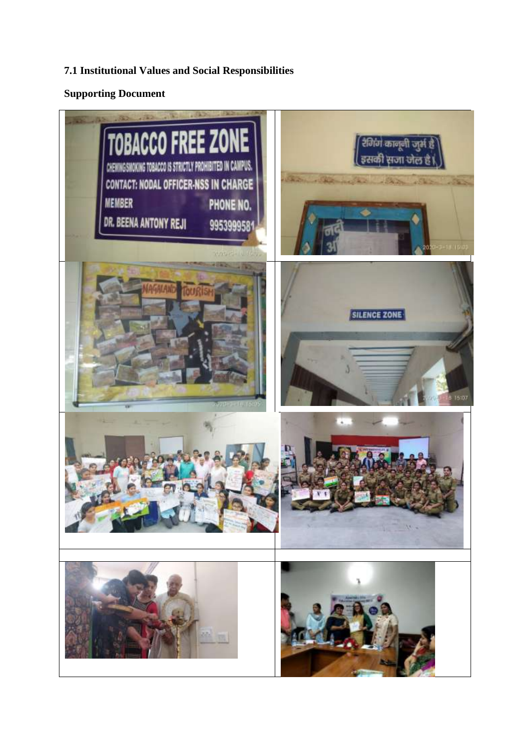## **7.1 Institutional Values and Social Responsibilities**

## **Supporting Document**

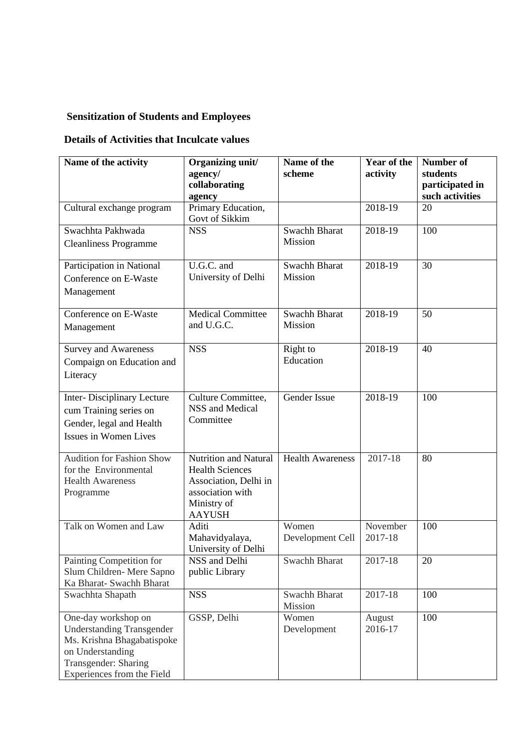## **Sensitization of Students and Employees**

## **Details of Activities that Inculcate values**

| Name of the activity                                                                                                                                            | Organizing unit/<br>agency/                                                                                                  | Name of the<br>scheme     | Year of the<br>activity | <b>Number of</b><br>students       |
|-----------------------------------------------------------------------------------------------------------------------------------------------------------------|------------------------------------------------------------------------------------------------------------------------------|---------------------------|-------------------------|------------------------------------|
|                                                                                                                                                                 | collaborating<br>agency                                                                                                      |                           |                         | participated in<br>such activities |
| Cultural exchange program                                                                                                                                       | Primary Education,<br>Govt of Sikkim                                                                                         |                           | 2018-19                 | 20                                 |
| Swachhta Pakhwada<br><b>Cleanliness Programme</b>                                                                                                               | <b>NSS</b>                                                                                                                   | Swachh Bharat<br>Mission  | 2018-19                 | 100                                |
| Participation in National<br>Conference on E-Waste<br>Management                                                                                                | U.G.C. and<br>University of Delhi                                                                                            | Swachh Bharat<br>Mission  | 2018-19                 | 30                                 |
| Conference on E-Waste<br>Management                                                                                                                             | <b>Medical Committee</b><br>and U.G.C.                                                                                       | Swachh Bharat<br>Mission  | 2018-19                 | 50                                 |
| <b>Survey and Awareness</b><br>Compaign on Education and<br>Literacy                                                                                            | <b>NSS</b>                                                                                                                   | Right to<br>Education     | 2018-19                 | 40                                 |
| Inter-Disciplinary Lecture<br>cum Training series on<br>Gender, legal and Health<br>Issues in Women Lives                                                       | Culture Committee,<br>NSS and Medical<br>Committee                                                                           | Gender Issue              | 2018-19                 | 100                                |
| <b>Audition for Fashion Show</b><br>for the Environmental<br><b>Health Awareness</b><br>Programme                                                               | Nutrition and Natural<br><b>Health Sciences</b><br>Association, Delhi in<br>association with<br>Ministry of<br><b>AAYUSH</b> | <b>Health Awareness</b>   | 2017-18                 | 80                                 |
| Talk on Women and Law                                                                                                                                           | Aditi<br>Mahavidyalaya,<br>University of Delhi                                                                               | Women<br>Development Cell | November<br>2017-18     | 100                                |
| Painting Competition for<br>Slum Children-Mere Sapno<br>Ka Bharat- Swachh Bharat                                                                                | NSS and Delhi<br>public Library                                                                                              | Swachh Bharat             | 2017-18                 | 20                                 |
| Swachhta Shapath                                                                                                                                                | <b>NSS</b>                                                                                                                   | Swachh Bharat<br>Mission  | 2017-18                 | 100                                |
| One-day workshop on<br><b>Understanding Transgender</b><br>Ms. Krishna Bhagabatispoke<br>on Understanding<br>Transgender: Sharing<br>Experiences from the Field | GSSP, Delhi                                                                                                                  | Women<br>Development      | August<br>2016-17       | 100                                |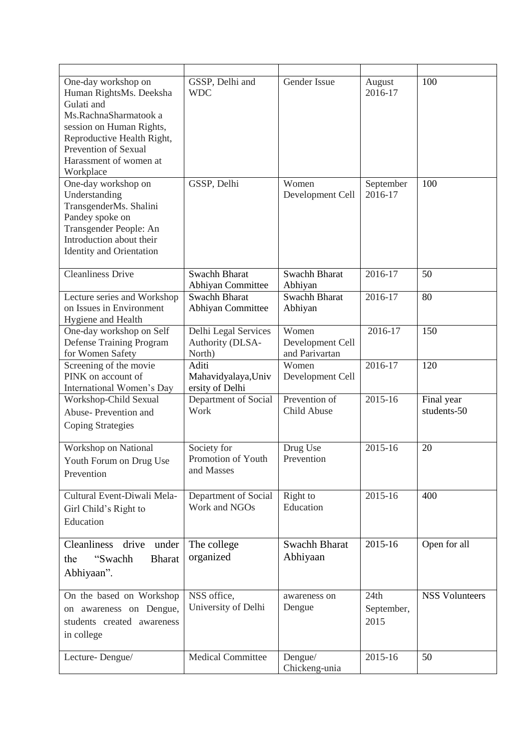| One-day workshop on<br>Human RightsMs. Deeksha<br>Gulati and<br>Ms.RachnaSharmatook a<br>session on Human Rights,<br>Reproductive Health Right,<br>Prevention of Sexual<br>Harassment of women at<br>Workplace | GSSP, Delhi and<br><b>WDC</b>                      | Gender Issue                                | August<br>2016-17          | 100                       |
|----------------------------------------------------------------------------------------------------------------------------------------------------------------------------------------------------------------|----------------------------------------------------|---------------------------------------------|----------------------------|---------------------------|
| One-day workshop on<br>Understanding<br>TransgenderMs. Shalini<br>Pandey spoke on<br>Transgender People: An<br>Introduction about their<br><b>Identity and Orientation</b>                                     | GSSP, Delhi                                        | Women<br>Development Cell                   | September<br>2016-17       | 100                       |
| <b>Cleanliness Drive</b>                                                                                                                                                                                       | Swachh Bharat<br>Abhiyan Committee                 | Swachh Bharat<br>Abhiyan                    | 2016-17                    | 50                        |
| Lecture series and Workshop<br>on Issues in Environment<br>Hygiene and Health                                                                                                                                  | Swachh Bharat<br>Abhiyan Committee                 | <b>Swachh Bharat</b><br>Abhiyan             | 2016-17                    | 80                        |
| One-day workshop on Self<br>Defense Training Program<br>for Women Safety                                                                                                                                       | Delhi Legal Services<br>Authority (DLSA-<br>North) | Women<br>Development Cell<br>and Parivartan | 2016-17                    | 150                       |
| Screening of the movie<br>PINK on account of<br>International Women's Day                                                                                                                                      | Aditi<br>Mahavidyalaya, Univ<br>ersity of Delhi    | Women<br>Development Cell                   | 2016-17                    | 120                       |
| Workshop-Child Sexual<br>Abuse-Prevention and<br><b>Coping Strategies</b>                                                                                                                                      | Department of Social<br>Work                       | Prevention of<br>Child Abuse                | 2015-16                    | Final year<br>students-50 |
| Workshop on National<br>Youth Forum on Drug Use<br>Prevention                                                                                                                                                  | Society for<br>Promotion of Youth<br>and Masses    | Drug Use<br>Prevention                      | 2015-16                    | 20                        |
| Cultural Event-Diwali Mela-<br>Girl Child's Right to<br>Education                                                                                                                                              | Department of Social<br>Work and NGOs              | Right to<br>Education                       | 2015-16                    | 400                       |
| <b>Cleanliness</b><br>drive<br>under<br>"Swachh<br><b>Bharat</b><br>the<br>Abhiyaan".                                                                                                                          | The college<br>organized                           | Swachh Bharat<br>Abhiyaan                   | 2015-16                    | Open for all              |
| On the based on Workshop<br>on awareness on Dengue,<br>students created awareness<br>in college                                                                                                                | NSS office,<br>University of Delhi                 | awareness on<br>Dengue                      | 24th<br>September,<br>2015 | <b>NSS Volunteers</b>     |
| Lecture-Dengue/                                                                                                                                                                                                | <b>Medical Committee</b>                           | Dengue/<br>Chickeng-unia                    | 2015-16                    | 50                        |